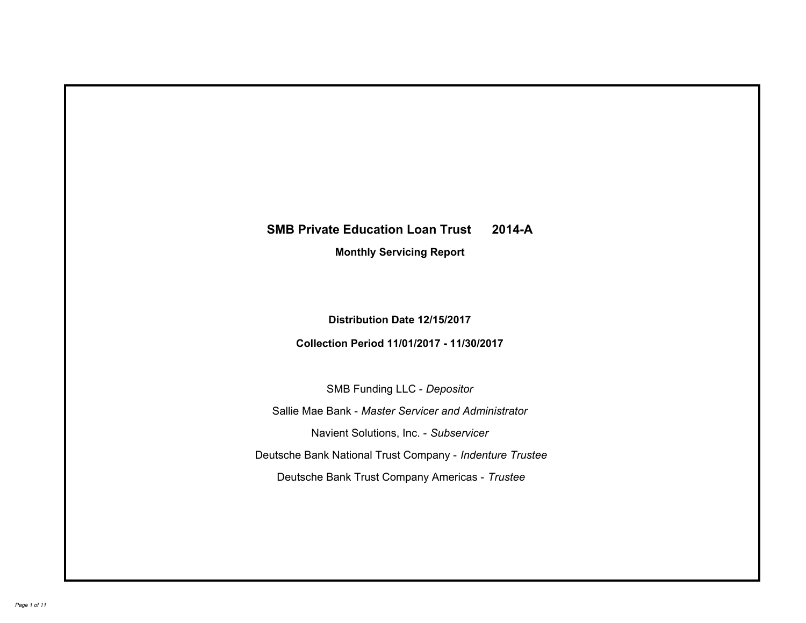# **SMB Private Education Loan Trust 2014-A Monthly Servicing Report**

**Distribution Date 12/15/2017**

**Collection Period 11/01/2017 - 11/30/2017**

SMB Funding LLC - *Depositor*

Sallie Mae Bank - *Master Servicer and Administrator*

Navient Solutions, Inc. - *Subservicer*

Deutsche Bank National Trust Company - *Indenture Trustee*

Deutsche Bank Trust Company Americas - *Trustee*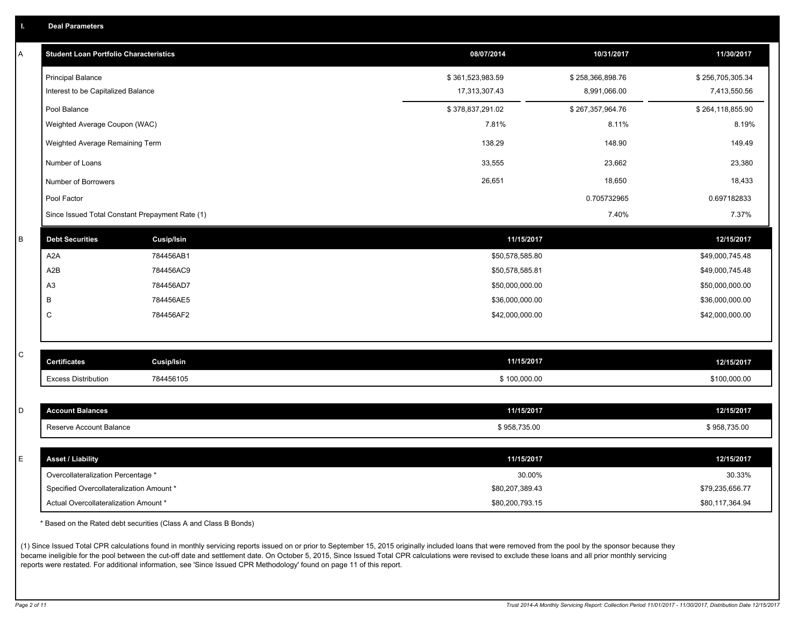|  | <b>Deal Parameters</b> |  |
|--|------------------------|--|
|  |                        |  |

| А | <b>Student Loan Portfolio Characteristics</b>   |                   | 08/07/2014       | 10/31/2017       | 11/30/2017       |
|---|-------------------------------------------------|-------------------|------------------|------------------|------------------|
|   | <b>Principal Balance</b>                        |                   | \$361,523,983.59 | \$258,366,898.76 | \$256,705,305.34 |
|   | Interest to be Capitalized Balance              |                   | 17,313,307.43    | 8,991,066.00     | 7,413,550.56     |
|   | Pool Balance                                    |                   | \$378,837,291.02 | \$267,357,964.76 | \$264,118,855.90 |
|   | Weighted Average Coupon (WAC)                   |                   | 7.81%            | 8.11%            | 8.19%            |
|   | Weighted Average Remaining Term                 |                   | 138.29           | 148.90           | 149.49           |
|   | Number of Loans                                 |                   | 33,555           | 23,662           | 23,380           |
|   | Number of Borrowers                             |                   | 26,651           | 18,650           | 18,433           |
|   | Pool Factor                                     |                   |                  | 0.705732965      | 0.697182833      |
|   | Since Issued Total Constant Prepayment Rate (1) |                   |                  | 7.40%            | 7.37%            |
| B | <b>Debt Securities</b>                          | <b>Cusip/Isin</b> | 11/15/2017       |                  | 12/15/2017       |
|   | A <sub>2</sub> A                                | 784456AB1         | \$50,578,585.80  |                  | \$49,000,745.48  |
|   | A <sub>2</sub> B                                | 784456AC9         | \$50,578,585.81  |                  | \$49,000,745.48  |
|   | A <sub>3</sub>                                  | 784456AD7         | \$50,000,000.00  |                  | \$50,000,000.00  |
|   | В                                               | 784456AE5         | \$36,000,000.00  |                  | \$36,000,000.00  |
|   | С                                               | 784456AF2         | \$42,000,000.00  |                  | \$42,000,000.00  |
|   |                                                 |                   |                  |                  |                  |
| С | <b>Certificates</b>                             | <b>Cusip/Isin</b> | 11/15/2017       |                  | 12/15/2017       |
|   | <b>Excess Distribution</b>                      | 784456105         | \$100,000.00     |                  | \$100,000.00     |
|   |                                                 |                   |                  |                  |                  |
| D | <b>Account Balances</b>                         |                   | 11/15/2017       |                  | 12/15/2017       |
|   | Reserve Account Balance                         |                   | \$958,735.00     |                  | \$958,735.00     |
|   |                                                 |                   |                  |                  |                  |
| E | <b>Asset / Liability</b>                        |                   | 11/15/2017       |                  | 12/15/2017       |
|   | Overcollateralization Percentage *              |                   | 30.00%           |                  | 30.33%           |
|   | Specified Overcollateralization Amount *        |                   | \$80,207,389.43  |                  | \$79,235,656.77  |
|   | Actual Overcollateralization Amount *           |                   | \$80,200,793.15  |                  | \$80,117,364.94  |

\* Based on the Rated debt securities (Class A and Class B Bonds)

(1) Since Issued Total CPR calculations found in monthly servicing reports issued on or prior to September 15, 2015 originally included loans that were removed from the pool by the sponsor because they became ineligible for the pool between the cut-off date and settlement date. On October 5, 2015, Since Issued Total CPR calculations were revised to exclude these loans and all prior monthly servicing reports were restated. For additional information, see 'Since Issued CPR Methodology' found on page 11 of this report.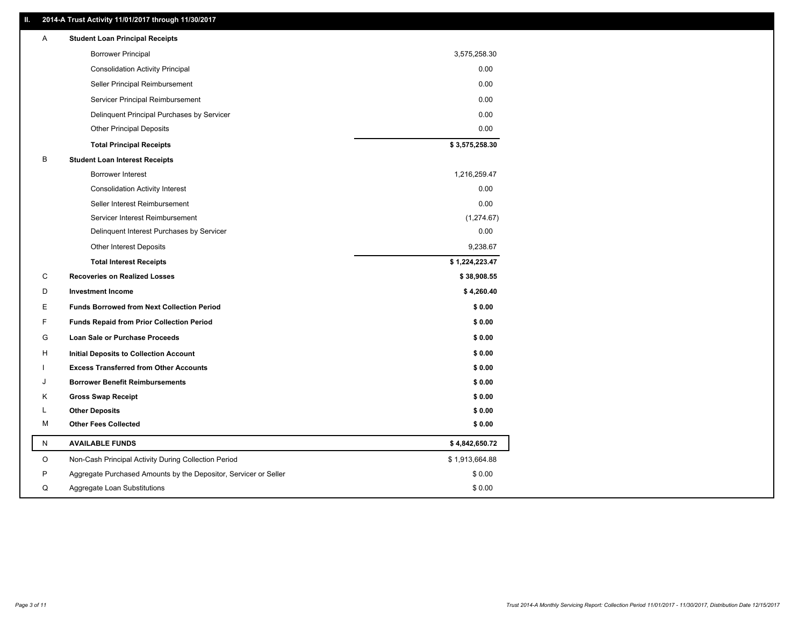## **II. 2014-A Trust Activity 11/01/2017 through 11/30/2017**

| Α | <b>Student Loan Principal Receipts</b>                           |                |
|---|------------------------------------------------------------------|----------------|
|   | <b>Borrower Principal</b>                                        | 3,575,258.30   |
|   | <b>Consolidation Activity Principal</b>                          | 0.00           |
|   | Seller Principal Reimbursement                                   | 0.00           |
|   | Servicer Principal Reimbursement                                 | 0.00           |
|   | Delinquent Principal Purchases by Servicer                       | 0.00           |
|   | <b>Other Principal Deposits</b>                                  | 0.00           |
|   | <b>Total Principal Receipts</b>                                  | \$3,575,258.30 |
| B | <b>Student Loan Interest Receipts</b>                            |                |
|   | <b>Borrower Interest</b>                                         | 1,216,259.47   |
|   | <b>Consolidation Activity Interest</b>                           | 0.00           |
|   | Seller Interest Reimbursement                                    | 0.00           |
|   | Servicer Interest Reimbursement                                  | (1,274.67)     |
|   | Delinquent Interest Purchases by Servicer                        | 0.00           |
|   | Other Interest Deposits                                          | 9,238.67       |
|   | <b>Total Interest Receipts</b>                                   | \$1,224,223.47 |
| C | <b>Recoveries on Realized Losses</b>                             | \$38,908.55    |
| D | <b>Investment Income</b>                                         | \$4,260.40     |
| Е | <b>Funds Borrowed from Next Collection Period</b>                | \$0.00         |
| F | <b>Funds Repaid from Prior Collection Period</b>                 | \$0.00         |
| G | Loan Sale or Purchase Proceeds                                   | \$0.00         |
| н | Initial Deposits to Collection Account                           | \$0.00         |
|   | <b>Excess Transferred from Other Accounts</b>                    | \$0.00         |
| J | <b>Borrower Benefit Reimbursements</b>                           | \$0.00         |
| Κ | <b>Gross Swap Receipt</b>                                        | \$0.00         |
| L | <b>Other Deposits</b>                                            | \$0.00         |
| м | <b>Other Fees Collected</b>                                      | \$0.00         |
| N | <b>AVAILABLE FUNDS</b>                                           | \$4,842,650.72 |
| O | Non-Cash Principal Activity During Collection Period             | \$1,913,664.88 |
| P | Aggregate Purchased Amounts by the Depositor, Servicer or Seller | \$0.00         |
| Q | Aggregate Loan Substitutions                                     | \$0.00         |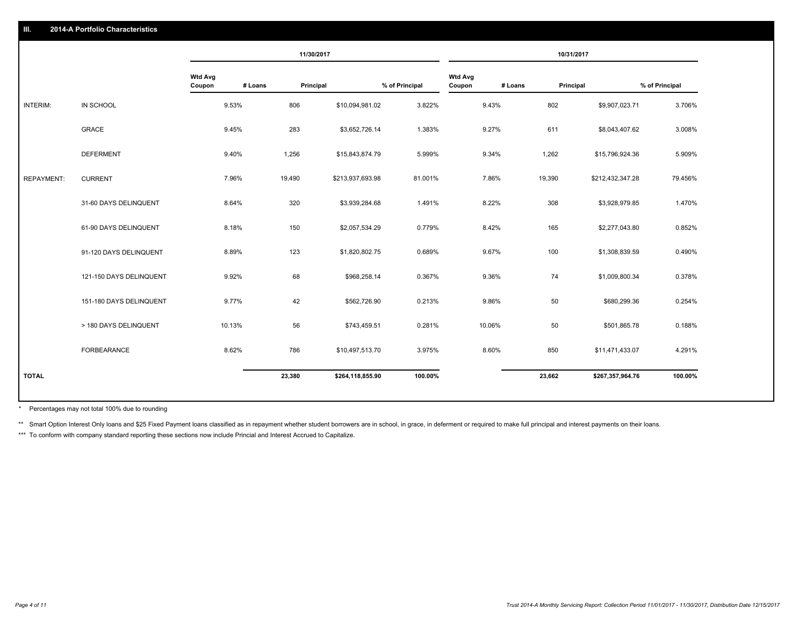### **III. 2014-A Portfolio Characteristics**

|                   |                         |                          |         | 11/30/2017 |                  |                |                          |         | 10/31/2017 |                  |                |
|-------------------|-------------------------|--------------------------|---------|------------|------------------|----------------|--------------------------|---------|------------|------------------|----------------|
|                   |                         | <b>Wtd Avg</b><br>Coupon | # Loans | Principal  |                  | % of Principal | <b>Wtd Avg</b><br>Coupon | # Loans | Principal  |                  | % of Principal |
| INTERIM:          | IN SCHOOL               | 9.53%                    |         | 806        | \$10,094,981.02  | 3.822%         |                          | 9.43%   | 802        | \$9,907,023.71   | 3.706%         |
|                   | <b>GRACE</b>            | 9.45%                    |         | 283        | \$3,652,726.14   | 1.383%         |                          | 9.27%   | 611        | \$8,043,407.62   | 3.008%         |
|                   | <b>DEFERMENT</b>        | 9.40%                    |         | 1,256      | \$15,843,874.79  | 5.999%         |                          | 9.34%   | 1,262      | \$15,796,924.36  | 5.909%         |
| <b>REPAYMENT:</b> | <b>CURRENT</b>          | 7.96%                    |         | 19,490     | \$213,937,693.98 | 81.001%        |                          | 7.86%   | 19,390     | \$212,432,347.28 | 79.456%        |
|                   | 31-60 DAYS DELINQUENT   | 8.64%                    |         | 320        | \$3,939,284.68   | 1.491%         |                          | 8.22%   | 308        | \$3,928,979.85   | 1.470%         |
|                   | 61-90 DAYS DELINQUENT   | 8.18%                    |         | 150        | \$2,057,534.29   | 0.779%         |                          | 8.42%   | 165        | \$2,277,043.80   | 0.852%         |
|                   | 91-120 DAYS DELINQUENT  | 8.89%                    |         | 123        | \$1,820,802.75   | 0.689%         |                          | 9.67%   | 100        | \$1,308,839.59   | 0.490%         |
|                   | 121-150 DAYS DELINQUENT | 9.92%                    |         | 68         | \$968,258.14     | 0.367%         |                          | 9.36%   | 74         | \$1,009,800.34   | 0.378%         |
|                   | 151-180 DAYS DELINQUENT | 9.77%                    |         | 42         | \$562,726.90     | 0.213%         |                          | 9.86%   | 50         | \$680,299.36     | 0.254%         |
|                   | > 180 DAYS DELINQUENT   | 10.13%                   |         | 56         | \$743,459.51     | 0.281%         |                          | 10.06%  | 50         | \$501,865.78     | 0.188%         |
|                   | FORBEARANCE             | 8.62%                    |         | 786        | \$10,497,513.70  | 3.975%         |                          | 8.60%   | 850        | \$11,471,433.07  | 4.291%         |
| <b>TOTAL</b>      |                         |                          |         | 23,380     | \$264,118,855.90 | 100.00%        |                          |         | 23,662     | \$267,357,964.76 | 100.00%        |

Percentages may not total 100% due to rounding \*

\*\* Smart Option Interest Only loans and \$25 Fixed Payment loans classified as in repayment whether student borrowers are in school, in grace, in deferment or required to make full principal and interest payments on their l

\*\*\* To conform with company standard reporting these sections now include Princial and Interest Accrued to Capitalize.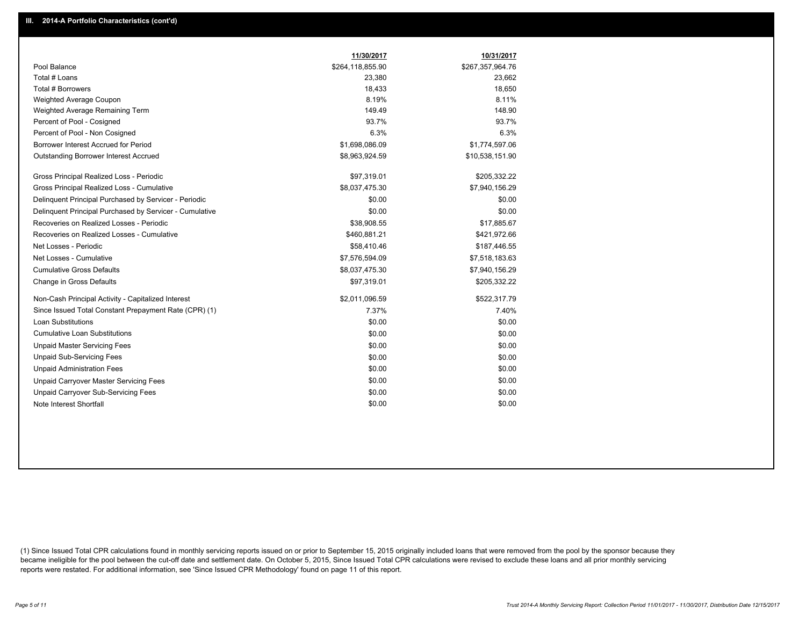|                                                         | 11/30/2017       | 10/31/2017       |
|---------------------------------------------------------|------------------|------------------|
| Pool Balance                                            | \$264,118,855.90 | \$267,357,964.76 |
| Total # Loans                                           | 23,380           | 23,662           |
| Total # Borrowers                                       | 18,433           | 18,650           |
| Weighted Average Coupon                                 | 8.19%            | 8.11%            |
| Weighted Average Remaining Term                         | 149.49           | 148.90           |
| Percent of Pool - Cosigned                              | 93.7%            | 93.7%            |
| Percent of Pool - Non Cosigned                          | 6.3%             | 6.3%             |
| Borrower Interest Accrued for Period                    | \$1,698,086.09   | \$1,774,597.06   |
| Outstanding Borrower Interest Accrued                   | \$8,963,924.59   | \$10,538,151.90  |
| Gross Principal Realized Loss - Periodic                | \$97,319.01      | \$205,332.22     |
| Gross Principal Realized Loss - Cumulative              | \$8,037,475.30   | \$7,940,156.29   |
| Delinquent Principal Purchased by Servicer - Periodic   | \$0.00           | \$0.00           |
| Delinquent Principal Purchased by Servicer - Cumulative | \$0.00           | \$0.00           |
| Recoveries on Realized Losses - Periodic                | \$38,908.55      | \$17,885.67      |
| Recoveries on Realized Losses - Cumulative              | \$460,881.21     | \$421,972.66     |
| Net Losses - Periodic                                   | \$58,410.46      | \$187,446.55     |
| Net Losses - Cumulative                                 | \$7,576,594.09   | \$7,518,183.63   |
| <b>Cumulative Gross Defaults</b>                        | \$8,037,475.30   | \$7,940,156.29   |
| Change in Gross Defaults                                | \$97,319.01      | \$205,332.22     |
| Non-Cash Principal Activity - Capitalized Interest      | \$2,011,096.59   | \$522,317.79     |
| Since Issued Total Constant Prepayment Rate (CPR) (1)   | 7.37%            | 7.40%            |
| <b>Loan Substitutions</b>                               | \$0.00           | \$0.00           |
| <b>Cumulative Loan Substitutions</b>                    | \$0.00           | \$0.00           |
| <b>Unpaid Master Servicing Fees</b>                     | \$0.00           | \$0.00           |
| <b>Unpaid Sub-Servicing Fees</b>                        | \$0.00           | \$0.00           |
| <b>Unpaid Administration Fees</b>                       | \$0.00           | \$0.00           |
| Unpaid Carryover Master Servicing Fees                  | \$0.00           | \$0.00           |
| <b>Unpaid Carryover Sub-Servicing Fees</b>              | \$0.00           | \$0.00           |
| Note Interest Shortfall                                 | \$0.00           | \$0.00           |

(1) Since Issued Total CPR calculations found in monthly servicing reports issued on or prior to September 15, 2015 originally included loans that were removed from the pool by the sponsor because they became ineligible for the pool between the cut-off date and settlement date. On October 5, 2015, Since Issued Total CPR calculations were revised to exclude these loans and all prior monthly servicing reports were restated. For additional information, see 'Since Issued CPR Methodology' found on page 11 of this report.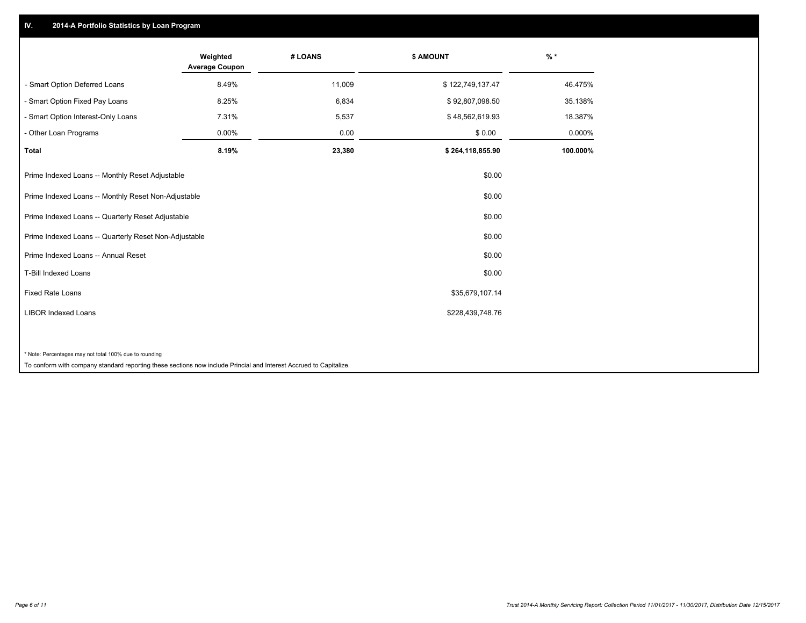## **IV. 2014-A Portfolio Statistics by Loan Program**

|                                                                                                                    | Weighted<br><b>Average Coupon</b> | # LOANS | \$ AMOUNT        | $%$ *    |
|--------------------------------------------------------------------------------------------------------------------|-----------------------------------|---------|------------------|----------|
| - Smart Option Deferred Loans                                                                                      | 8.49%                             | 11,009  | \$122,749,137.47 | 46.475%  |
| - Smart Option Fixed Pay Loans                                                                                     | 8.25%                             | 6,834   | \$92,807,098.50  | 35.138%  |
| - Smart Option Interest-Only Loans                                                                                 | 7.31%                             | 5,537   | \$48,562,619.93  | 18.387%  |
| - Other Loan Programs                                                                                              | 0.00%                             | 0.00    | \$0.00           | 0.000%   |
| <b>Total</b>                                                                                                       | 8.19%                             | 23,380  | \$264,118,855.90 | 100.000% |
| Prime Indexed Loans -- Monthly Reset Adjustable                                                                    |                                   |         | \$0.00           |          |
| Prime Indexed Loans -- Monthly Reset Non-Adjustable                                                                |                                   |         | \$0.00           |          |
| Prime Indexed Loans -- Quarterly Reset Adjustable                                                                  |                                   |         | \$0.00           |          |
| Prime Indexed Loans -- Quarterly Reset Non-Adjustable                                                              |                                   |         | \$0.00           |          |
| Prime Indexed Loans -- Annual Reset                                                                                |                                   |         | \$0.00           |          |
| T-Bill Indexed Loans                                                                                               |                                   |         | \$0.00           |          |
| <b>Fixed Rate Loans</b>                                                                                            |                                   |         | \$35,679,107.14  |          |
| <b>LIBOR Indexed Loans</b>                                                                                         |                                   |         | \$228,439,748.76 |          |
|                                                                                                                    |                                   |         |                  |          |
| * Note: Percentages may not total 100% due to rounding                                                             |                                   |         |                  |          |
| To conform with company standard reporting these sections now include Princial and Interest Accrued to Capitalize. |                                   |         |                  |          |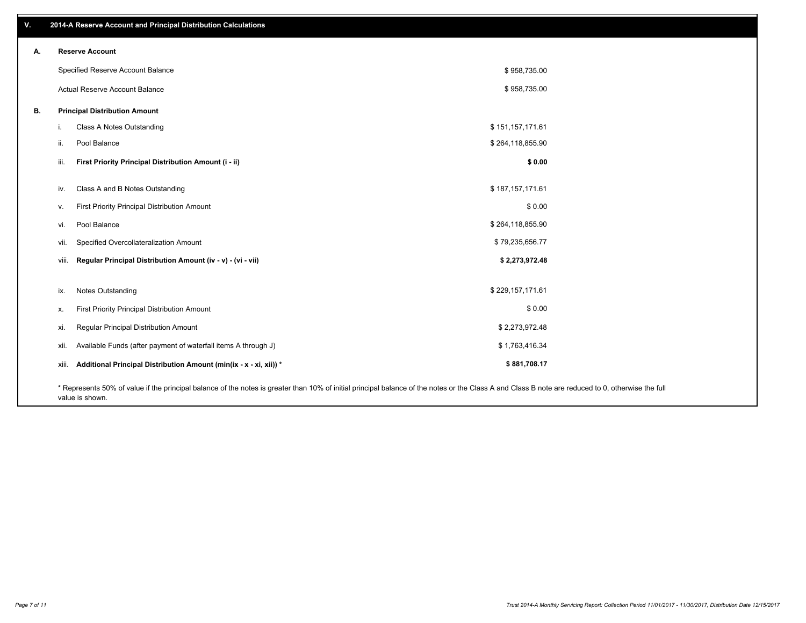| v. | 2014-A Reserve Account and Principal Distribution Calculations                                                                                                                                     |                  |  |
|----|----------------------------------------------------------------------------------------------------------------------------------------------------------------------------------------------------|------------------|--|
| А. | <b>Reserve Account</b>                                                                                                                                                                             |                  |  |
|    | Specified Reserve Account Balance                                                                                                                                                                  | \$958,735.00     |  |
|    | Actual Reserve Account Balance                                                                                                                                                                     | \$958,735.00     |  |
| В. | <b>Principal Distribution Amount</b>                                                                                                                                                               |                  |  |
|    | Class A Notes Outstanding                                                                                                                                                                          | \$151,157,171.61 |  |
|    | Pool Balance<br>ii.                                                                                                                                                                                | \$264,118,855.90 |  |
|    | First Priority Principal Distribution Amount (i - ii)<br>iii.                                                                                                                                      | \$0.00           |  |
|    | Class A and B Notes Outstanding<br>iv.                                                                                                                                                             | \$187,157,171.61 |  |
|    | First Priority Principal Distribution Amount<br>v.                                                                                                                                                 | \$0.00           |  |
|    | Pool Balance<br>vi.                                                                                                                                                                                | \$264,118,855.90 |  |
|    | Specified Overcollateralization Amount<br>vii.                                                                                                                                                     | \$79,235,656.77  |  |
|    | Regular Principal Distribution Amount (iv - v) - (vi - vii)<br>viii.                                                                                                                               | \$2,273,972.48   |  |
|    |                                                                                                                                                                                                    |                  |  |
|    | <b>Notes Outstanding</b><br>ix.                                                                                                                                                                    | \$229,157,171.61 |  |
|    | First Priority Principal Distribution Amount<br>х.                                                                                                                                                 | \$0.00           |  |
|    | Regular Principal Distribution Amount<br>xi.                                                                                                                                                       | \$2,273,972.48   |  |
|    | Available Funds (after payment of waterfall items A through J)<br>xii.                                                                                                                             | \$1,763,416.34   |  |
|    | Additional Principal Distribution Amount (min(ix - x - xi, xii)) *<br>xiii.                                                                                                                        | \$881,708.17     |  |
|    | * Represents 50% of value if the principal balance of the notes is greater than 10% of initial principal balance of the notes or the Class A and Class B note are reduced to 0, otherwise the full |                  |  |

value is shown.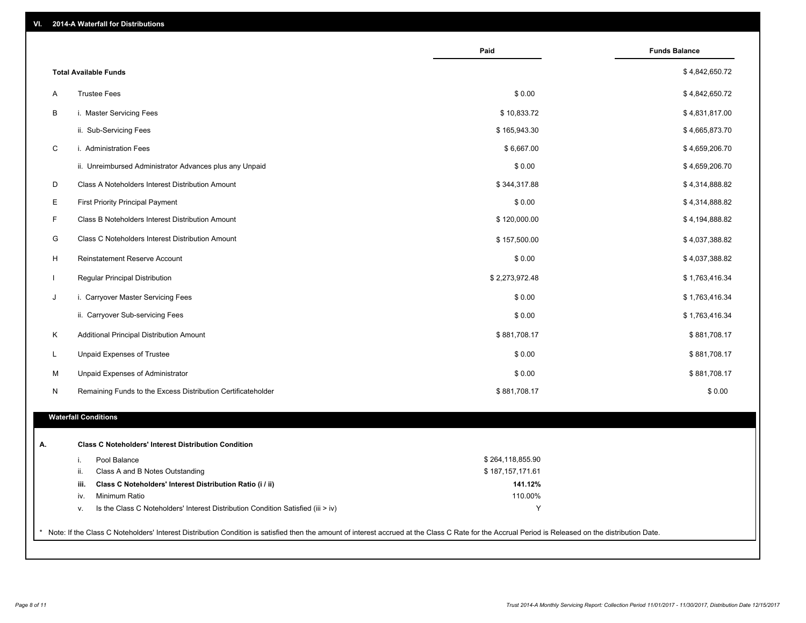| VI. | <b>2014-A Waterfall for Distributions</b> |
|-----|-------------------------------------------|
|-----|-------------------------------------------|

|              |                                                                                                          | Paid             | <b>Funds Balance</b> |
|--------------|----------------------------------------------------------------------------------------------------------|------------------|----------------------|
|              | <b>Total Available Funds</b>                                                                             |                  | \$4,842,650.72       |
| Α            | <b>Trustee Fees</b>                                                                                      | \$0.00           | \$4,842,650.72       |
| B            | i. Master Servicing Fees                                                                                 | \$10,833.72      | \$4,831,817.00       |
|              | ii. Sub-Servicing Fees                                                                                   | \$165,943.30     | \$4,665,873.70       |
| C            | i. Administration Fees                                                                                   | \$6,667.00       | \$4,659,206.70       |
|              | ii. Unreimbursed Administrator Advances plus any Unpaid                                                  | \$0.00           | \$4,659,206.70       |
| D            | Class A Noteholders Interest Distribution Amount                                                         | \$344,317.88     | \$4,314,888.82       |
| Е            | <b>First Priority Principal Payment</b>                                                                  | \$0.00           | \$4,314,888.82       |
| F            | Class B Noteholders Interest Distribution Amount                                                         | \$120,000.00     | \$4,194,888.82       |
| G            | Class C Noteholders Interest Distribution Amount                                                         | \$157,500.00     | \$4,037,388.82       |
| H            | <b>Reinstatement Reserve Account</b>                                                                     | \$0.00           | \$4,037,388.82       |
| $\mathbf{L}$ | Regular Principal Distribution                                                                           | \$2,273,972.48   | \$1,763,416.34       |
| J            | i. Carryover Master Servicing Fees                                                                       | \$0.00           | \$1,763,416.34       |
|              | ii. Carryover Sub-servicing Fees                                                                         | \$0.00           | \$1,763,416.34       |
| Κ            | Additional Principal Distribution Amount                                                                 | \$881,708.17     | \$881,708.17         |
| L            | Unpaid Expenses of Trustee                                                                               | \$0.00           | \$881,708.17         |
| м            | Unpaid Expenses of Administrator                                                                         | \$0.00           | \$881,708.17         |
| N            | Remaining Funds to the Excess Distribution Certificateholder                                             | \$881,708.17     | \$0.00               |
|              | <b>Waterfall Conditions</b>                                                                              |                  |                      |
|              |                                                                                                          |                  |                      |
|              | <b>Class C Noteholders' Interest Distribution Condition</b>                                              |                  |                      |
|              | Pool Balance<br>i.                                                                                       | \$264,118,855.90 |                      |
|              | ii.<br>Class A and B Notes Outstanding                                                                   | \$187,157,171.61 |                      |
|              | Class C Noteholders' Interest Distribution Ratio (i / ii)<br>iii.                                        | 141.12%          |                      |
|              | Minimum Ratio<br>iv.<br>Is the Class C Noteholders' Interest Distribution Condition Satisfied (iii > iv) | 110.00%<br>Y     |                      |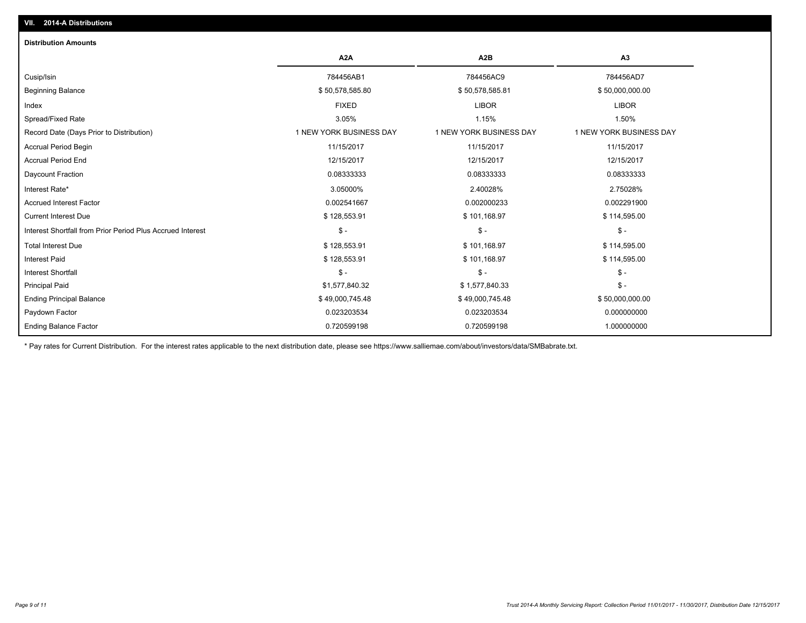| <b>Distribution Amounts</b>                                |                         |                         |                         |
|------------------------------------------------------------|-------------------------|-------------------------|-------------------------|
|                                                            | A <sub>2</sub> A        | A <sub>2</sub> B        | A3                      |
| Cusip/Isin                                                 | 784456AB1               | 784456AC9               | 784456AD7               |
| <b>Beginning Balance</b>                                   | \$50,578,585.80         | \$50,578,585.81         | \$50,000,000.00         |
| Index                                                      | <b>FIXED</b>            | <b>LIBOR</b>            | <b>LIBOR</b>            |
| Spread/Fixed Rate                                          | 3.05%                   | 1.15%                   | 1.50%                   |
| Record Date (Days Prior to Distribution)                   | 1 NEW YORK BUSINESS DAY | 1 NEW YORK BUSINESS DAY | 1 NEW YORK BUSINESS DAY |
| <b>Accrual Period Begin</b>                                | 11/15/2017              | 11/15/2017              | 11/15/2017              |
| <b>Accrual Period End</b>                                  | 12/15/2017              | 12/15/2017              | 12/15/2017              |
| Daycount Fraction                                          | 0.08333333              | 0.08333333              | 0.08333333              |
| Interest Rate*                                             | 3.05000%                | 2.40028%                | 2.75028%                |
| <b>Accrued Interest Factor</b>                             | 0.002541667             | 0.002000233             | 0.002291900             |
| <b>Current Interest Due</b>                                | \$128,553.91            | \$101,168.97            | \$114,595.00            |
| Interest Shortfall from Prior Period Plus Accrued Interest | $\mathsf{\$}$ -         | $\mathsf{\$}$ -         | $\mathsf{\$}$ -         |
| <b>Total Interest Due</b>                                  | \$128,553.91            | \$101,168.97            | \$114,595.00            |
| <b>Interest Paid</b>                                       | \$128,553.91            | \$101,168.97            | \$114,595.00            |
| <b>Interest Shortfall</b>                                  | $S -$                   | $S -$                   | $\mathsf{\$}$ -         |
| <b>Principal Paid</b>                                      | \$1,577,840.32          | \$1,577,840.33          | $\mathsf{\$}$ -         |
| <b>Ending Principal Balance</b>                            | \$49,000,745.48         | \$49,000,745.48         | \$50,000,000.00         |
| Paydown Factor                                             | 0.023203534             | 0.023203534             | 0.000000000             |
| <b>Ending Balance Factor</b>                               | 0.720599198             | 0.720599198             | 1.000000000             |

\* Pay rates for Current Distribution. For the interest rates applicable to the next distribution date, please see https://www.salliemae.com/about/investors/data/SMBabrate.txt.

**VII. 2014-A Distributions**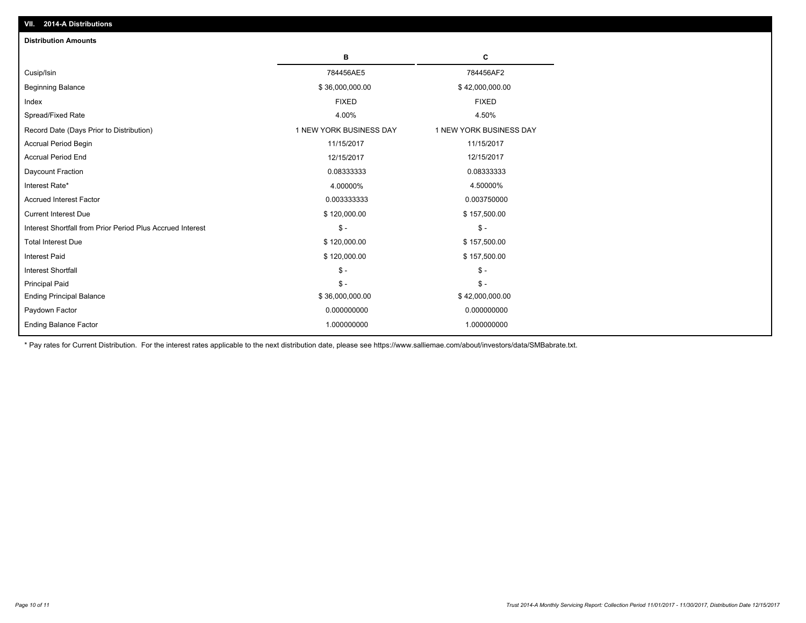| VII. 2014-A Distributions                                  |                         |                         |  |  |  |
|------------------------------------------------------------|-------------------------|-------------------------|--|--|--|
| <b>Distribution Amounts</b>                                |                         |                         |  |  |  |
|                                                            | в                       | C                       |  |  |  |
| Cusip/Isin                                                 | 784456AE5               | 784456AF2               |  |  |  |
| <b>Beginning Balance</b>                                   | \$36,000,000.00         | \$42,000,000.00         |  |  |  |
| Index                                                      | <b>FIXED</b>            | <b>FIXED</b>            |  |  |  |
| Spread/Fixed Rate                                          | 4.00%                   | 4.50%                   |  |  |  |
| Record Date (Days Prior to Distribution)                   | 1 NEW YORK BUSINESS DAY | 1 NEW YORK BUSINESS DAY |  |  |  |
| Accrual Period Begin                                       | 11/15/2017              | 11/15/2017              |  |  |  |
| <b>Accrual Period End</b>                                  | 12/15/2017              | 12/15/2017              |  |  |  |
| Daycount Fraction                                          | 0.08333333              | 0.08333333              |  |  |  |
| Interest Rate*                                             | 4.00000%                | 4.50000%                |  |  |  |
| <b>Accrued Interest Factor</b>                             | 0.003333333             | 0.003750000             |  |  |  |
| <b>Current Interest Due</b>                                | \$120,000.00            | \$157,500.00            |  |  |  |
| Interest Shortfall from Prior Period Plus Accrued Interest | $\mathsf{\$}$ -         | $\mathsf{\$}$ -         |  |  |  |
| <b>Total Interest Due</b>                                  | \$120,000.00            | \$157,500.00            |  |  |  |
| <b>Interest Paid</b>                                       | \$120,000.00            | \$157,500.00            |  |  |  |
| <b>Interest Shortfall</b>                                  | $\mathcal{S}$ -         | $\mathcal{S}$ -         |  |  |  |
| <b>Principal Paid</b>                                      | $S -$                   | $S -$                   |  |  |  |
| <b>Ending Principal Balance</b>                            | \$36,000,000.00         | \$42,000,000.00         |  |  |  |
| Paydown Factor                                             | 0.000000000             | 0.000000000             |  |  |  |
| <b>Ending Balance Factor</b>                               | 1.000000000             | 1.000000000             |  |  |  |

\* Pay rates for Current Distribution. For the interest rates applicable to the next distribution date, please see https://www.salliemae.com/about/investors/data/SMBabrate.txt.